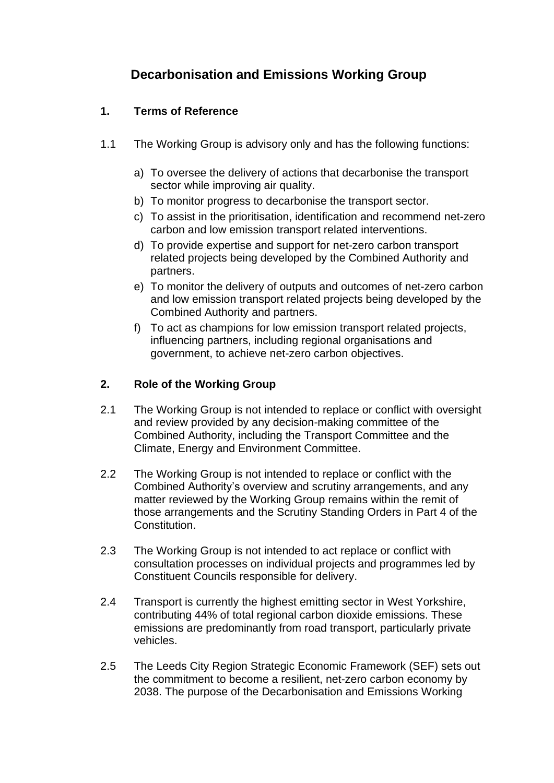# **Decarbonisation and Emissions Working Group**

# **1. Terms of Reference**

- 1.1 The Working Group is advisory only and has the following functions:
	- a) To oversee the delivery of actions that decarbonise the transport sector while improving air quality.
	- b) To monitor progress to decarbonise the transport sector.
	- c) To assist in the prioritisation, identification and recommend net-zero carbon and low emission transport related interventions.
	- d) To provide expertise and support for net-zero carbon transport related projects being developed by the Combined Authority and partners.
	- e) To monitor the delivery of outputs and outcomes of net-zero carbon and low emission transport related projects being developed by the Combined Authority and partners.
	- f) To act as champions for low emission transport related projects, influencing partners, including regional organisations and government, to achieve net-zero carbon objectives.

## **2. Role of the Working Group**

- 2.1 The Working Group is not intended to replace or conflict with oversight and review provided by any decision-making committee of the Combined Authority, including the Transport Committee and the Climate, Energy and Environment Committee.
- 2.2 The Working Group is not intended to replace or conflict with the Combined Authority's overview and scrutiny arrangements, and any matter reviewed by the Working Group remains within the remit of those arrangements and the Scrutiny Standing Orders in Part 4 of the Constitution.
- 2.3 The Working Group is not intended to act replace or conflict with consultation processes on individual projects and programmes led by Constituent Councils responsible for delivery.
- 2.4 Transport is currently the highest emitting sector in West Yorkshire, contributing 44% of total regional carbon dioxide emissions. These emissions are predominantly from road transport, particularly private vehicles.
- 2.5 The Leeds City Region Strategic Economic Framework (SEF) sets out the commitment to become a resilient, net-zero carbon economy by 2038. The purpose of the Decarbonisation and Emissions Working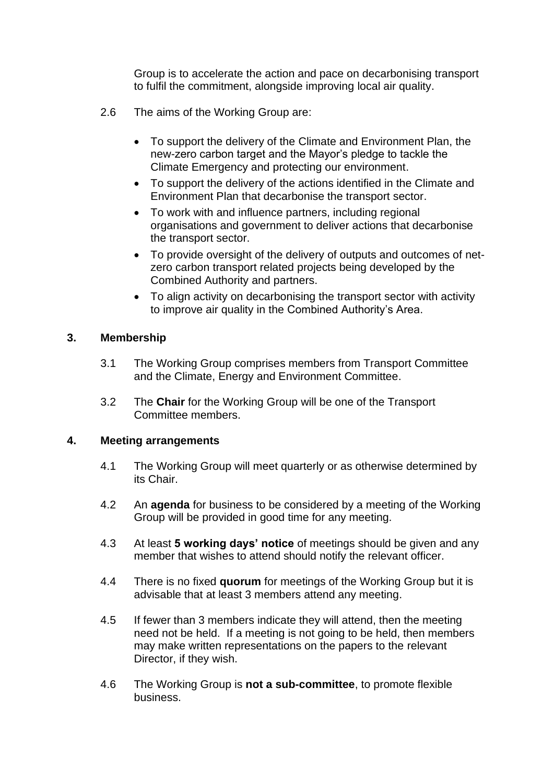Group is to accelerate the action and pace on decarbonising transport to fulfil the commitment, alongside improving local air quality.

- 2.6 The aims of the Working Group are:
	- To support the delivery of the Climate and Environment Plan, the new-zero carbon target and the Mayor's pledge to tackle the Climate Emergency and protecting our environment.
	- To support the delivery of the actions identified in the Climate and Environment Plan that decarbonise the transport sector.
	- To work with and influence partners, including regional organisations and government to deliver actions that decarbonise the transport sector.
	- To provide oversight of the delivery of outputs and outcomes of netzero carbon transport related projects being developed by the Combined Authority and partners.
	- To align activity on decarbonising the transport sector with activity to improve air quality in the Combined Authority's Area.

#### **3. Membership**

- 3.1 The Working Group comprises members from Transport Committee and the Climate, Energy and Environment Committee.
- 3.2 The **Chair** for the Working Group will be one of the Transport Committee members.

#### **4. Meeting arrangements**

- 4.1 The Working Group will meet quarterly or as otherwise determined by its Chair.
- 4.2 An **agenda** for business to be considered by a meeting of the Working Group will be provided in good time for any meeting.
- 4.3 At least **5 working days' notice** of meetings should be given and any member that wishes to attend should notify the relevant officer.
- 4.4 There is no fixed **quorum** for meetings of the Working Group but it is advisable that at least 3 members attend any meeting.
- 4.5 If fewer than 3 members indicate they will attend, then the meeting need not be held. If a meeting is not going to be held, then members may make written representations on the papers to the relevant Director, if they wish.
- 4.6 The Working Group is **not a sub-committee**, to promote flexible business.